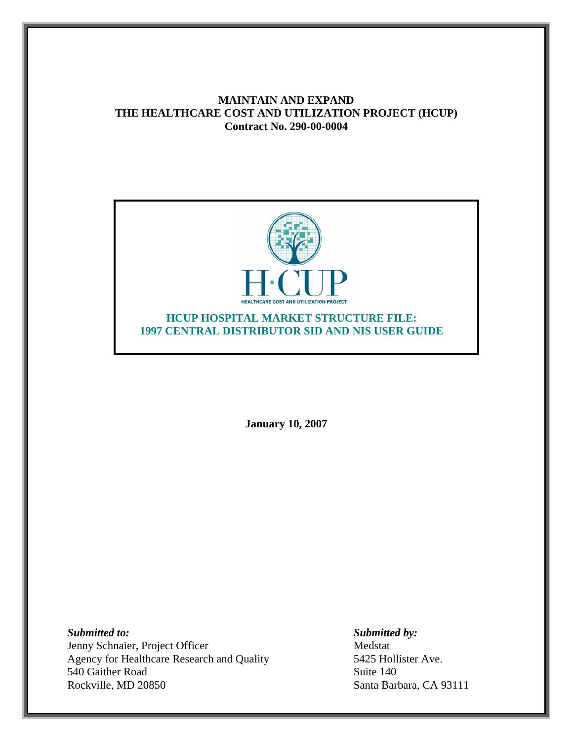# **MAINTAIN AND EXPAND THE HEALTHCARE COST AND UTILIZATION PROJECT (HCUP) Contract No. 290-00-0004**



**January 10, 2007** 

*Submitted to: Submitted by:*  Jenny Schnaier, Project Officer Medstat Agency for Healthcare Research and Quality 5425 Hollister Ave. 540 Gaither Road Suite 140 Rockville, MD 20850 Santa Barbara, CA 93111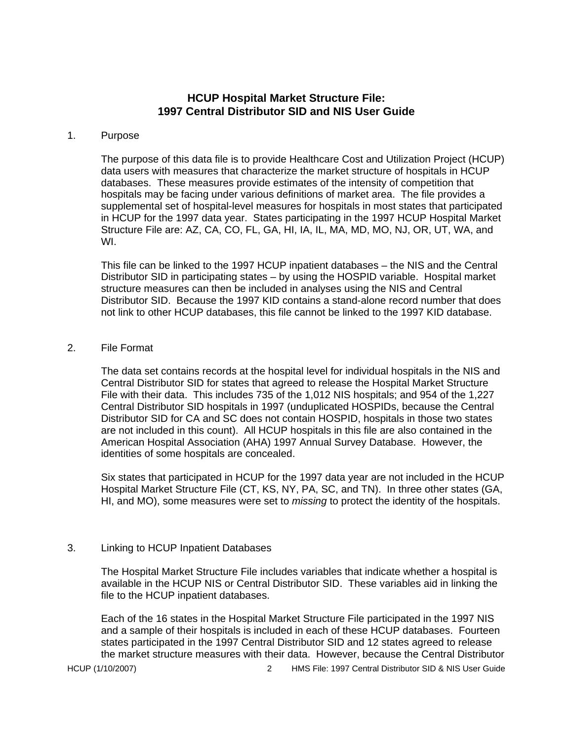## **HCUP Hospital Market Structure File: 1997 Central Distributor SID and NIS User Guide**

#### 1. Purpose

The purpose of this data file is to provide Healthcare Cost and Utilization Project (HCUP) data users with measures that characterize the market structure of hospitals in HCUP databases. These measures provide estimates of the intensity of competition that hospitals may be facing under various definitions of market area. The file provides a supplemental set of hospital-level measures for hospitals in most states that participated in HCUP for the 1997 data year. States participating in the 1997 HCUP Hospital Market Structure File are: AZ, CA, CO, FL, GA, HI, IA, IL, MA, MD, MO, NJ, OR, UT, WA, and WI.

This file can be linked to the 1997 HCUP inpatient databases – the NIS and the Central Distributor SID in participating states – by using the HOSPID variable. Hospital market structure measures can then be included in analyses using the NIS and Central Distributor SID. Because the 1997 KID contains a stand-alone record number that does not link to other HCUP databases, this file cannot be linked to the 1997 KID database.

### 2. File Format

The data set contains records at the hospital level for individual hospitals in the NIS and Central Distributor SID for states that agreed to release the Hospital Market Structure File with their data. This includes 735 of the 1,012 NIS hospitals; and 954 of the 1,227 Central Distributor SID hospitals in 1997 (unduplicated HOSPIDs, because the Central Distributor SID for CA and SC does not contain HOSPID, hospitals in those two states are not included in this count). All HCUP hospitals in this file are also contained in the American Hospital Association (AHA) 1997 Annual Survey Database. However, the identities of some hospitals are concealed.

Six states that participated in HCUP for the 1997 data year are not included in the HCUP Hospital Market Structure File (CT, KS, NY, PA, SC, and TN). In three other states (GA, HI, and MO), some measures were set to *missing* to protect the identity of the hospitals.

### 3. Linking to HCUP Inpatient Databases

The Hospital Market Structure File includes variables that indicate whether a hospital is available in the HCUP NIS or Central Distributor SID. These variables aid in linking the file to the HCUP inpatient databases.

Each of the 16 states in the Hospital Market Structure File participated in the 1997 NIS and a sample of their hospitals is included in each of these HCUP databases. Fourteen states participated in the 1997 Central Distributor SID and 12 states agreed to release the market structure measures with their data. However, because the Central Distributor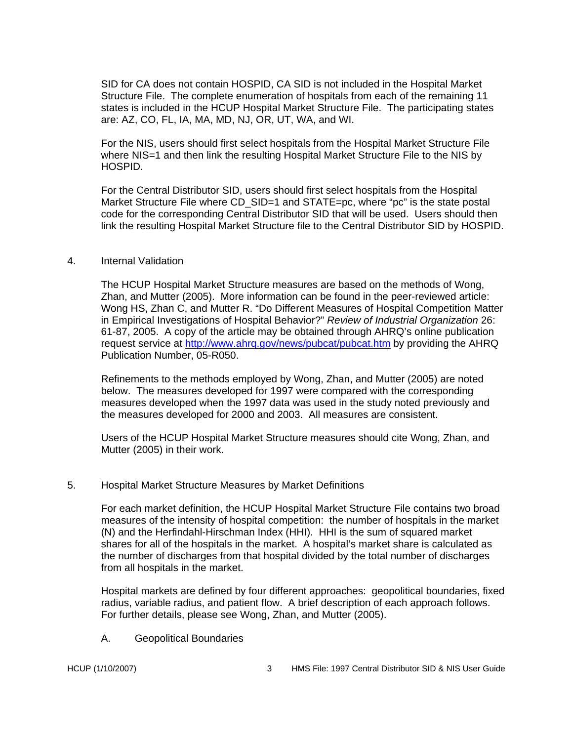SID for CA does not contain HOSPID, CA SID is not included in the Hospital Market Structure File. The complete enumeration of hospitals from each of the remaining 11 states is included in the HCUP Hospital Market Structure File. The participating states are: AZ, CO, FL, IA, MA, MD, NJ, OR, UT, WA, and WI.

For the NIS, users should first select hospitals from the Hospital Market Structure File where NIS=1 and then link the resulting Hospital Market Structure File to the NIS by HOSPID.

For the Central Distributor SID, users should first select hospitals from the Hospital Market Structure File where CD SID=1 and STATE=pc, where "pc" is the state postal code for the corresponding Central Distributor SID that will be used. Users should then link the resulting Hospital Market Structure file to the Central Distributor SID by HOSPID.

### 4. Internal Validation

The HCUP Hospital Market Structure measures are based on the methods of Wong, Zhan, and Mutter (2005). More information can be found in the peer-reviewed article: Wong HS, Zhan C, and Mutter R. "Do Different Measures of Hospital Competition Matter in Empirical Investigations of Hospital Behavior?" *Review of Industrial Organization* 26: 61-87, 2005. A copy of the article may be obtained through AHRQ's online publication request service at http://www.ahrq.gov/news/pubcat/pubcat.htm by providing the AHRQ Publication Number, 05-R050.

Refinements to the methods employed by Wong, Zhan, and Mutter (2005) are noted below. The measures developed for 1997 were compared with the corresponding measures developed when the 1997 data was used in the study noted previously and the measures developed for 2000 and 2003. All measures are consistent.

Users of the HCUP Hospital Market Structure measures should cite Wong, Zhan, and Mutter (2005) in their work.

### 5. Hospital Market Structure Measures by Market Definitions

For each market definition, the HCUP Hospital Market Structure File contains two broad measures of the intensity of hospital competition: the number of hospitals in the market (N) and the Herfindahl-Hirschman Index (HHI). HHI is the sum of squared market shares for all of the hospitals in the market. A hospital's market share is calculated as the number of discharges from that hospital divided by the total number of discharges from all hospitals in the market.

Hospital markets are defined by four different approaches: geopolitical boundaries, fixed radius, variable radius, and patient flow. A brief description of each approach follows. For further details, please see Wong, Zhan, and Mutter (2005).

A. Geopolitical Boundaries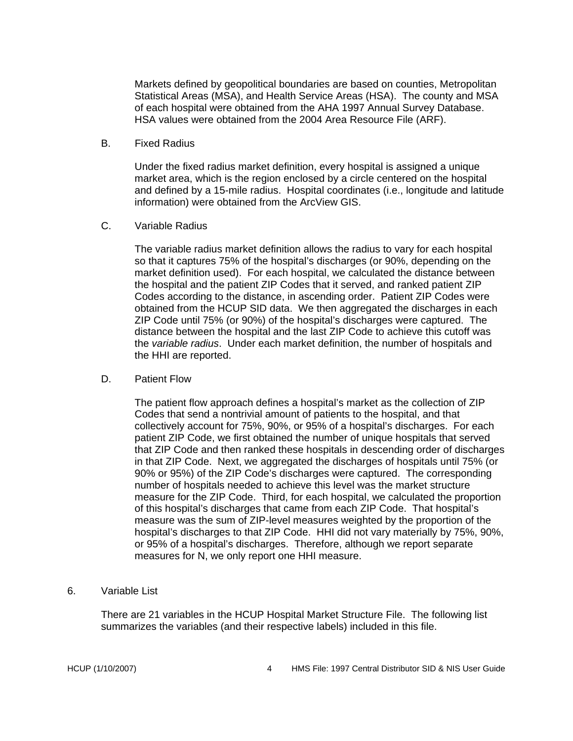Markets defined by geopolitical boundaries are based on counties, Metropolitan Statistical Areas (MSA), and Health Service Areas (HSA). The county and MSA of each hospital were obtained from the AHA 1997 Annual Survey Database. HSA values were obtained from the 2004 Area Resource File (ARF).

B. Fixed Radius

Under the fixed radius market definition, every hospital is assigned a unique market area, which is the region enclosed by a circle centered on the hospital and defined by a 15-mile radius. Hospital coordinates (i.e., longitude and latitude information) were obtained from the ArcView GIS.

C. Variable Radius

The variable radius market definition allows the radius to vary for each hospital so that it captures 75% of the hospital's discharges (or 90%, depending on the market definition used). For each hospital, we calculated the distance between the hospital and the patient ZIP Codes that it served, and ranked patient ZIP Codes according to the distance, in ascending order. Patient ZIP Codes were obtained from the HCUP SID data. We then aggregated the discharges in each ZIP Code until 75% (or 90%) of the hospital's discharges were captured. The distance between the hospital and the last ZIP Code to achieve this cutoff was the *variable radius*. Under each market definition, the number of hospitals and the HHI are reported.

D. Patient Flow

The patient flow approach defines a hospital's market as the collection of ZIP Codes that send a nontrivial amount of patients to the hospital, and that collectively account for 75%, 90%, or 95% of a hospital's discharges. For each patient ZIP Code, we first obtained the number of unique hospitals that served that ZIP Code and then ranked these hospitals in descending order of discharges in that ZIP Code. Next, we aggregated the discharges of hospitals until 75% (or 90% or 95%) of the ZIP Code's discharges were captured. The corresponding number of hospitals needed to achieve this level was the market structure measure for the ZIP Code. Third, for each hospital, we calculated the proportion of this hospital's discharges that came from each ZIP Code. That hospital's measure was the sum of ZIP-level measures weighted by the proportion of the hospital's discharges to that ZIP Code. HHI did not vary materially by 75%, 90%, or 95% of a hospital's discharges. Therefore, although we report separate measures for N, we only report one HHI measure.

6. Variable List

There are 21 variables in the HCUP Hospital Market Structure File. The following list summarizes the variables (and their respective labels) included in this file.